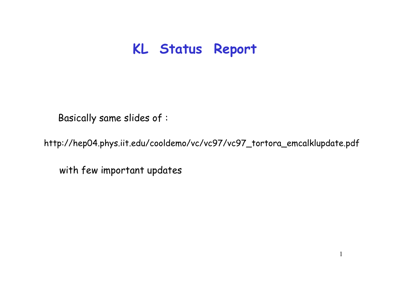## **KL Status Report**

Basically same slides of :

http:// hep04.phys.iit.edu/cooldemo/vc/vc97/vc97\_tortora\_emcalklupdate.pdf

1

with few important updates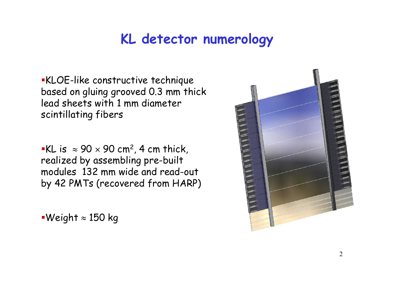# **KL detector numerology**

KLOE-like constructive technique based on gluing grooved 0.3 mm thick lead sheets with 1 mm diameter scintillating fibers

 $\bullet$ KL is  $\,\approx 90 \times 90$  cm², 4 cm thick, realized by assem bling p re-built modules 132 mm wide and read-out by 42 PMTs (recovered from HARP)

Weight ≈ 150 kg

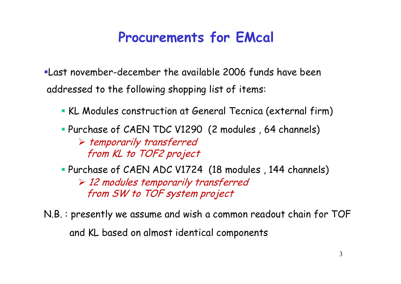## **Procurements for EMcal**

Last november-december the available 2006 funds have been addressed to the following shopping list of items:

- KL Modules construction at General Tecnica (external firm)
- Purchase of CAEN TDC V1290 (2 modules , 64 channels)

¾ temporarily transferred from KL to TOF2 project

Purchase of CAEN ADC V1724 (18 modules , 144 channels)

¾ 12 modules temporarily transferred from SW to TOF system project

N.B. : presently we assume and wish a common readout chain for TOF and KL based on almost identical components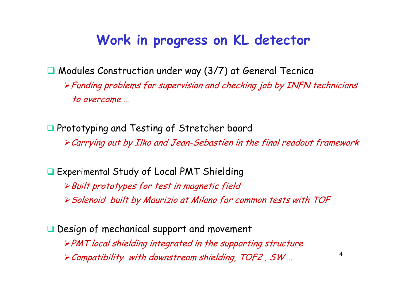## **Work in progress on KL detector**

■ Modules Construction under way (3/7) at General Tecnica <sup>¾</sup>Funding problems for supervision and checking job by INFN technicians to overcome …

**Q** Prototyping and Testing of Stretcher board <sup>¾</sup>Carrying out by Ilko and Jean-Sebastien in the final readout framework

 Experimental Study of Local PMT Shielding <sup>¾</sup>Built prototypes for test in magnetic field <sup>¾</sup>Solenoid built by Maurizio at Milano for common tests with TOF

Design of mechanical support and movement <sup>¾</sup>PMT local shielding integrated in the supporting structure ¾Compatibility with downstream shielding, TOF2 , SW …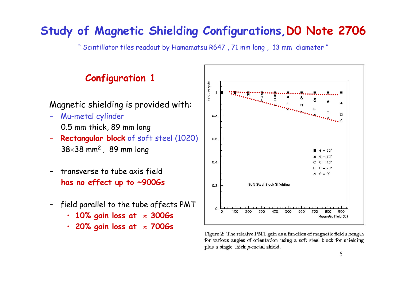### **Study of Magnetic Shielding Configurations,D0 Note 2706**

"Scintillator tiles readout by Hamamatsu R647 , 71 m m long , 13 mm diameter "

### **Configuration 1**

#### Magnetic shielding is provid e d with:

- –Mu-metal cylinder 0.5 mm thick, 89 m m long
- – **Rectangular block** of soft steel (1020) 38 $\times$ 38 mm $^2$  , 89 mm long
- –transverse to tube axis field **has no effect up to ~900Gs**
- –field parallel to the tube affects PMT
	- **10% gain loss at**  ≈ **300G s**
	- •**20% gain loss at**  ≈ **700G s**



Figure 2: The relative PMT gain as a function of magnetic field strength for various angles of orientation using a soft steel block for shielding plus a single thick  $\mu$ -metal shield.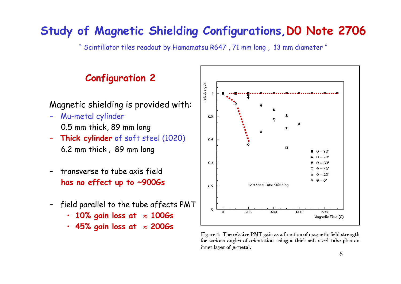### **Study of Magnetic Shielding Configurations,D0 Note 2706**

"Scintillator tiles readout by Hamamatsu R647 , 71 m m long , 13 mm diameter "

### **Configuration 2**

#### Magnetic shielding is provid e d with:

- –Mu-metal cylinder 0.5 mm thick, 89 m m long
- – **Thick cylinder** of soft steel (1020) 6.2 mm thick , 89 mm long
- –transverse to tube axis field **has no effect up to ~900Gs**
- –field parallel to the tube affects PMT
	- **10% gain loss at**  ≈ **100G s**
	- •**45% gain loss at**  ≈ **200G s**



Figure 4: The relative PMT gain as a function of magnetic field strength for various angles of orientation using a thick soft steel tube plus an inner layer of  $\mu$ -metal.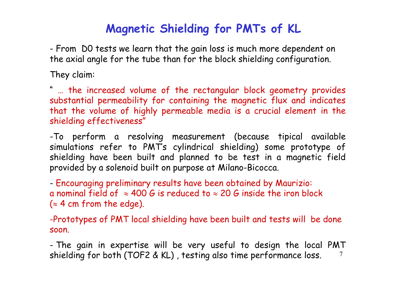## **Magnetic Shielding for PMTs of KL**

 From D0 tests we learn that the gain loss is much more dependent on the axial angle for the tube than for the block shielding configuration.

They claim:

" … the increased volume of the rectangular block geometry provides substantial permeability for containing the magnetic flux and indicates that the volume of highly permeable media is a crucial element in the shielding effectiveness"

-To perform a resolving measurement (because tipical available simulations refer to PMT's cylindrical shielding) some prototype of shielding have been built and planned to be test in a magnetic field provided by a solenoid built on purpose at Milano-Bicocca.

 Encouraging preliminary results have been obtained by Maurizio: a nominal field of  $\approx 400$  G is reduced to  $\approx 20$  G inside the iron block  $(z4$  cm from the edge).

-Prototypes of PMT local shielding have been built and tests will be done soon.

 $\gamma$  The gain in expertise will be very useful to design the local PMT shielding for both (TOF2 & KL) , testing also time performance loss.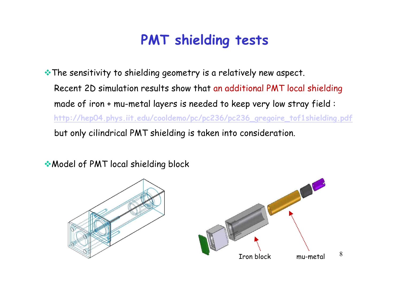# **PMT shielding tests**

• The sensitivity to shielding geometry is a relatively new aspect. Recent 2D simulation results show that an additional PMT local s hielding made of iron + mu-metal layers is needed to keep very low stray field : **http://hep04.phys.iit.edu/cooldem o/pc/pc236/pc236\_gregoire\_tof1shielding.pdf** but only cilindrical PMT shielding is taken into consideration.

◆ Model of PMT local shielding block



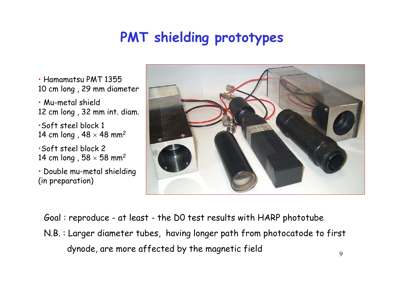# **PMT shielding prototypes**

- Hamam atsu PMT 1355 10 cm long , 29 mm diameter
- Mu-metal shield 12 cm long , 32 mm int. diam.
- •Soft steel block 1 14 cm long , 48  $\times$  48 mm<sup>2</sup>
- •Soft steel block 2 14 cm long , 58  $\times$  58 mm<sup>2</sup>
- Double mu-m e tal shielding (in pre paration)



- Goal : repro duce at least the D0 test results with HARP photo tube
- N.B. : Larger diameter tubes, having longer p ath from photocatode to first dynode, are more affected by the magnetic field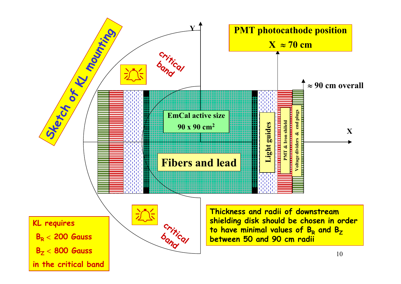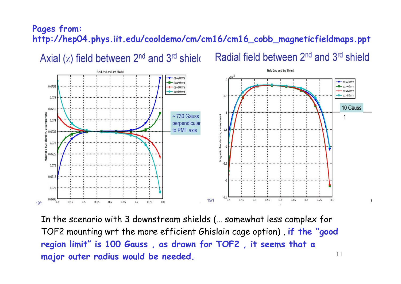#### **Pages from: http://hep04.phys.iit.edu/cooldemo/cm/cm16/cm16\_cobb\_magneticfieldmaps.ppt**

Axial  $(z)$  field between  $2^{nd}$  and  $3^{rd}$  shield

Radial field between 2<sup>nd</sup> and 3<sup>rd</sup> shield



11In the scenario with 3 downstream shields (… somewhat less complex for TOF2 mounting wrt the more efficient Ghislain cage option) , **if the "good region limit" is 100 Gauss , as drawn for TOF2 , it seems that a major outer radius would be needed.**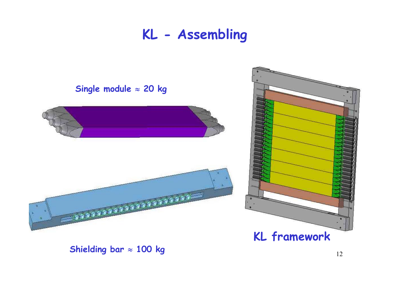## **KL - Assembling**



**Shielding bar** <sup>≈</sup> **100 kg**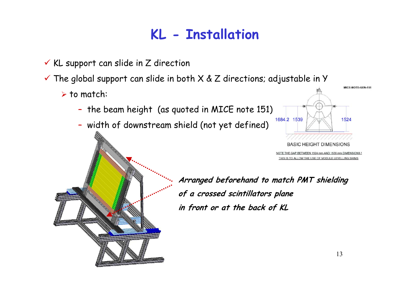# **KL - Installation**

- $\checkmark$  KL support can slide in Z direction
- $\checkmark$  The global support can slide in both X & Z directions; adjustable in Y
	- $\triangleright$  to match:
		- the beam height (as quoted in MICE note 151)
		- width of downstream shield (not yet defined)



ETWEEN 1524 mm AND 1539 mm DIMENSIONS O ALLOW THE USE OF MODULE LEVELLING

**Arranged beforehand to match PMT shielding of a crossed scintillators plane in front or at the back of KL**